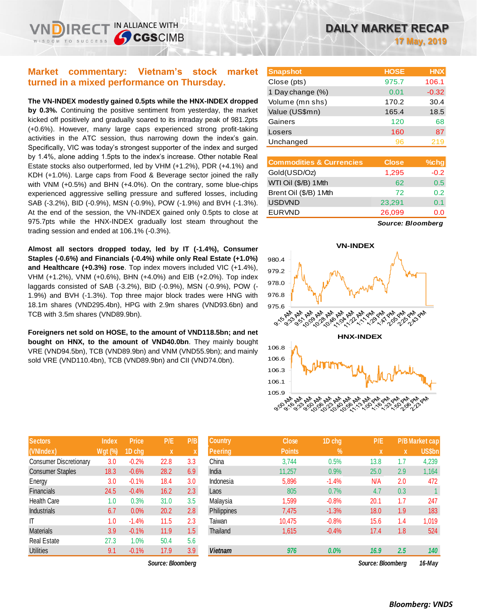# **Market commentary: Vietnam's stock market turned in a mixed performance on Thursday.**

IN ALLIANCE WITH

**CGSCIMB** 

**The VN-INDEX modestly gained 0.5pts while the HNX-INDEX dropped by 0.3%.** Continuing the positive sentiment from yesterday, the market kicked off positively and gradually soared to its intraday peak of 981.2pts (+0.6%). However, many large caps experienced strong profit-taking activities in the ATC session, thus narrowing down the index's gain. Specifically, VIC was today's strongest supporter of the index and surged by 1.4%, alone adding 1.5pts to the index's increase. Other notable Real Estate stocks also outperformed, led by VHM (+1.2%), PDR (+4.1%) and KDH (+1.0%). Large caps from Food & Beverage sector joined the rally with VNM (+0.5%) and BHN (+4.0%). On the contrary, some blue-chips experienced aggressive selling pressure and suffered losses, including SAB (-3.2%), BID (-0.9%), MSN (-0.9%), POW (-1.9%) and BVH (-1.3%). At the end of the session, the VN-INDEX gained only 0.5pts to close at 975.7pts while the HNX-INDEX gradually lost steam throughout the trading session and ended at 106.1% (-0.3%).

**Almost all sectors dropped today, led by IT (-1.4%), Consumer Staples (-0.6%) and Financials (-0.4%) while only Real Estate (+1.0%) and Healthcare (+0.3%) rose**. Top index movers included VIC (+1.4%), VHM (+1.2%), VNM (+0.6%), BHN (+4.0%) and EIB (+2.0%). Top index laggards consisted of SAB (-3.2%), BID (-0.9%), MSN (-0.9%), POW (- 1.9%) and BVH (-1.3%). Top three major block trades were HNG with 18.1m shares (VND295.4bn), HPG with 2.9m shares (VND93.6bn) and TCB with 3.5m shares (VND89.9bn).

**Foreigners net sold on HOSE, to the amount of VND118.5bn; and net bought on HNX, to the amount of VND40.0bn**. They mainly bought VRE (VND94.5bn), TCB (VND89.9bn) and VNM (VND55.9bn); and mainly sold VRE (VND110.4bn), TCB (VND89.9bn) and CII (VND74.0bn).

| <b>Sectors</b>                | <b>Index</b>   | <b>Price</b> | P/E  | P/B                       |
|-------------------------------|----------------|--------------|------|---------------------------|
| (VNIndex)                     | <b>Wgt (%)</b> | 1D chg       | X    | $\boldsymbol{\mathsf{X}}$ |
| <b>Consumer Discretionary</b> | 3.0            | $-0.2%$      | 22.8 | 3.3                       |
| <b>Consumer Staples</b>       | 18.3           | $-0.6%$      | 28.2 | 6.9                       |
| Energy                        | 3.0            | $-0.1%$      | 18.4 | 3.0                       |
| <b>Financials</b>             | 24.5           | $-0.4%$      | 16.2 | 2.3                       |
| <b>Health Care</b>            | 1.0            | 0.3%         | 31.0 | 3.5                       |
| <b>Industrials</b>            | 6.7            | 0.0%         | 20.2 | 2.8                       |
| ıτ                            | 1.0            | $-1.4%$      | 11.5 | 2.3                       |
| <b>Materials</b>              | 3.9            | $-0.1%$      | 11.9 | 1.5                       |
| <b>Real Estate</b>            | 27.3           | 1.0%         | 50.4 | 5.6                       |
| <b>Utilities</b>              | 9.1            | $-0.1%$      | 17.9 | 3.9                       |

| <b>Snapshot</b>  | <b>HOSE</b> | <b>HNX</b> |
|------------------|-------------|------------|
| Close (pts)      | 975.7       | 106.1      |
| 1 Day change (%) | 0.01        | $-0.32$    |
| Volume (mn shs)  | 170.2       | 30.4       |
| Value (US\$mn)   | 165.4       | 18.5       |
| Gainers          | 120         | 68         |
| Losers           | 160         | 87         |
| Unchanged        | 96          | 219        |
|                  |             |            |

| <b>Commodities &amp; Currencies</b> | <b>Close</b> | $%$ chg |
|-------------------------------------|--------------|---------|
| Gold(USD/Oz)                        | 1,295        | $-0.2$  |
| WTI Oil (\$/B) 1 Mth                | 62           | 0.5     |
| Brent Oil (\$/B) 1Mth               | 72           | 0.2     |
| <b>USDVND</b>                       | 23,291       | 0.1     |
| <b>EURVND</b>                       | 26,099       | 0.0     |
|                                     |              |         |

*Source: Bloomberg*



| <b>Sectors</b>          | <b>Index</b>   | <b>Price</b> | P/E               | P/B | <b>Country</b>     | <b>Close</b>  | 1D chg  | P/E               |     | <b>P/B Market cap</b> |
|-------------------------|----------------|--------------|-------------------|-----|--------------------|---------------|---------|-------------------|-----|-----------------------|
| (VNIndex)               | <b>Wgt (%)</b> | 1D chg       | X                 |     | <b>Peering</b>     | <b>Points</b> | $\%$    | $\mathbf{x}$      | X   | <b>US\$bn</b>         |
| Consumer Discretionary  | 3.0            | $-0.2%$      | 22.8              | 3.3 | China              | 3,744         | 0.5%    | 13.8              | 1.7 | 4,239                 |
| <b>Consumer Staples</b> | 18.3           | $-0.6%$      | 28.2              | 6.9 | India              | 11.257        | 0.9%    | 25.0              | 2.9 | 1,164                 |
| Energy                  | 3.0            | $-0.1%$      | 18.4              | 3.0 | Indonesia          | 5,896         | $-1.4%$ | N/A               | 2.0 | 472                   |
| Financials              | 24.5           | $-0.4%$      | 16.2              | 2.3 | Laos               | 805           | 0.7%    | 4.7               | 0.3 |                       |
| Health Care             | 1.0            | 0.3%         | 31.0              | 3.5 | Malavsia           | 1,599         | $-0.8%$ | 20.1              | 1.7 | 247                   |
| Industrials             | 6.7            | 0.0%         | 20.2              | 2.8 | <b>Philippines</b> | 7,475         | $-1.3%$ | 18.0              | 1.9 | 183                   |
|                         | 1.0            | $-1.4%$      | 11.5              | 2.3 | Taiwan             | 10.475        | $-0.8%$ | 15.6              | 1.4 | 1,019                 |
| Materials               | 3.9            | $-0.1%$      | 11.9              | 1.5 | Thailand           | 1,615         | $-0.4%$ | 17.4              | 1.8 | 524                   |
| Real Estate             | 27.3           | $1.0\%$      | 50.4              | 5.6 |                    |               |         |                   |     |                       |
| Utilities               | 9.1            | $-0.1%$      | 17.9              | 3.9 | <b>Vietnam</b>     | 976           | 0.0%    | 16.9              | 2.5 | 140                   |
|                         |                |              | Source: Bloomberg |     |                    |               |         | Source: Bloombera |     | 16-Mav                |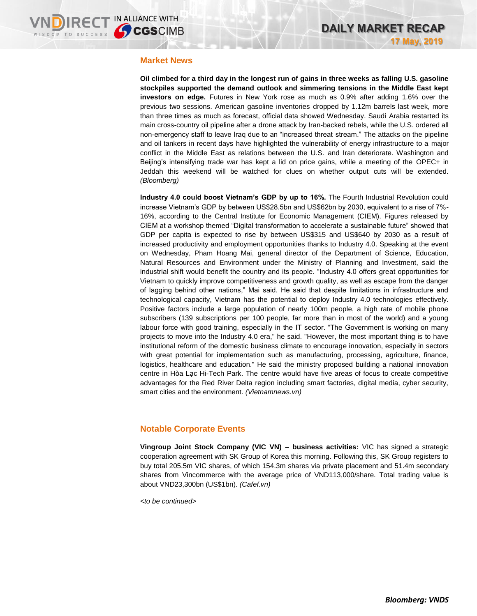#### **Market News**

**Oil climbed for a third day in the longest run of gains in three weeks as falling U.S. gasoline stockpiles supported the demand outlook and simmering tensions in the Middle East kept investors on edge.** Futures in New York rose as much as 0.9% after adding 1.6% over the previous two sessions. American gasoline inventories dropped by 1.12m barrels last week, more than three times as much as forecast, official data showed Wednesday. Saudi Arabia restarted its main cross-country oil pipeline after a drone attack by Iran-backed rebels, while the U.S. ordered all non-emergency staff to leave Iraq due to an "increased threat stream." The attacks on the pipeline and oil tankers in recent days have highlighted the vulnerability of energy infrastructure to a major conflict in the Middle East as relations between the U.S. and Iran deteriorate. Washington and Beijing's intensifying trade war has kept a lid on price gains, while a meeting of the OPEC+ in Jeddah this weekend will be watched for clues on whether output cuts will be extended. *(Bloomberg)*

**Industry 4.0 could boost Vietnam's GDP by up to 16%.** The Fourth Industrial Revolution could increase Vietnam's GDP by between US\$28.5bn and US\$62bn by 2030, equivalent to a rise of 7%- 16%, according to the Central Institute for Economic Management (CIEM). Figures released by CIEM at a workshop themed "Digital transformation to accelerate a sustainable future" showed that GDP per capita is expected to rise by between US\$315 and US\$640 by 2030 as a result of increased productivity and employment opportunities thanks to Industry 4.0. Speaking at the event on Wednesday, Pham Hoang Mai, general director of the Department of Science, Education, Natural Resources and Environment under the Ministry of Planning and Investment, said the industrial shift would benefit the country and its people. "Industry 4.0 offers great opportunities for Vietnam to quickly improve competitiveness and growth quality, as well as escape from the danger of lagging behind other nations," Mai said. He said that despite limitations in infrastructure and technological capacity, Vietnam has the potential to deploy Industry 4.0 technologies effectively. Positive factors include a large population of nearly 100m people, a high rate of mobile phone subscribers (139 subscriptions per 100 people, far more than in most of the world) and a young labour force with good training, especially in the IT sector. "The Government is working on many projects to move into the Industry 4.0 era," he said. "However, the most important thing is to have institutional reform of the domestic business climate to encourage innovation, especially in sectors with great potential for implementation such as manufacturing, processing, agriculture, finance, logistics, healthcare and education." He said the ministry proposed building a national innovation centre in Hòa Lạc Hi-Tech Park. The centre would have five areas of focus to create competitive advantages for the Red River Delta region including smart factories, digital media, cyber security, smart cities and the environment. *(Vietnamnews.vn)*

# **Notable Corporate Events**

**Vingroup Joint Stock Company (VIC VN) – business activities:** VIC has signed a strategic cooperation agreement with SK Group of Korea this morning. Following this, SK Group registers to buy total 205.5m VIC shares, of which 154.3m shares via private placement and 51.4m secondary shares from Vincommerce with the average price of VND113,000/share. Total trading value is about VND23,300bn (US\$1bn). *(Cafef.vn)*

*<to be continued>*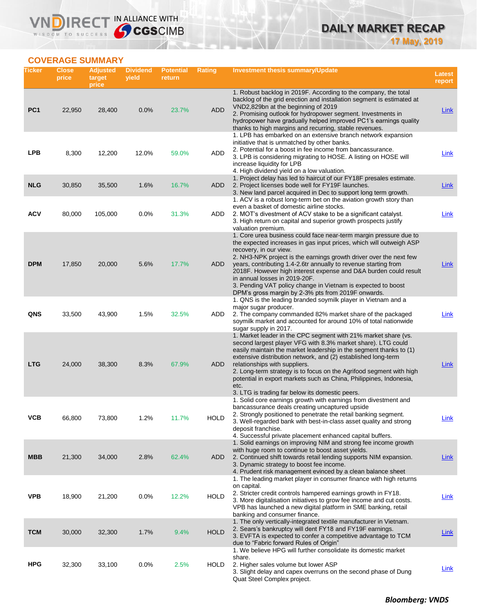**VNDIRECT IN ALLIANCE WITH** 

| <b>DAILY MARKET RECAP</b> |  |                     |
|---------------------------|--|---------------------|
|                           |  | <b>17 May, 2019</b> |

# **COVERAGE SUMMARY**

| Ticker          | Close<br>price | <b>Adjusted</b><br>target<br>price | <b>Dividend</b><br>yield | <b>Potential</b><br>return | <b>Rating</b> | Investment thesis summary/Update                                                                                                                                                                                                                                                                                                                                                                                                                                                                                                       | <b>Latest</b><br>report |
|-----------------|----------------|------------------------------------|--------------------------|----------------------------|---------------|----------------------------------------------------------------------------------------------------------------------------------------------------------------------------------------------------------------------------------------------------------------------------------------------------------------------------------------------------------------------------------------------------------------------------------------------------------------------------------------------------------------------------------------|-------------------------|
| PC <sub>1</sub> | 22,950         | 28,400                             | 0.0%                     | 23.7%                      | <b>ADD</b>    | 1. Robust backlog in 2019F. According to the company, the total<br>backlog of the grid erection and installation segment is estimated at<br>VND2,829bn at the beginning of 2019<br>2. Promising outlook for hydropower segment. Investments in<br>hydropower have gradually helped improved PC1's earnings quality<br>thanks to high margins and recurring, stable revenues.                                                                                                                                                           | Link                    |
| <b>LPB</b>      | 8,300          | 12,200                             | 12.0%                    | 59.0%                      | ADD           | 1. LPB has embarked on an extensive branch network expansion<br>initiative that is unmatched by other banks.<br>2. Potential for a boost in fee income from bancassurance.<br>3. LPB is considering migrating to HOSE. A listing on HOSE will<br>increase liquidity for LPB<br>4. High dividend yield on a low valuation.                                                                                                                                                                                                              | Link                    |
| <b>NLG</b>      | 30,850         | 35,500                             | 1.6%                     | 16.7%                      | ADD           | 1. Project delay has led to haircut of our FY18F presales estimate.<br>2. Project licenses bode well for FY19F launches.<br>3. New land parcel acquired in Dec to support long term growth.                                                                                                                                                                                                                                                                                                                                            | Link                    |
| <b>ACV</b>      | 80,000         | 105,000                            | $0.0\%$                  | 31.3%                      | ADD           | 1. ACV is a robust long-term bet on the aviation growth story than<br>even a basket of domestic airline stocks.<br>2. MOT's divestment of ACV stake to be a significant catalyst.<br>3. High return on capital and superior growth prospects justify<br>valuation premium.                                                                                                                                                                                                                                                             | Link                    |
| <b>DPM</b>      | 17,850         | 20,000                             | 5.6%                     | 17.7%                      | ADD.          | 1. Core urea business could face near-term margin pressure due to<br>the expected increases in gas input prices, which will outweigh ASP<br>recovery, in our view.<br>2. NH3-NPK project is the earnings growth driver over the next few<br>years, contributing 1.4-2.6tr annually to revenue starting from<br>2018F. However high interest expense and D&A burden could result<br>in annual losses in 2019-20F.<br>3. Pending VAT policy change in Vietnam is expected to boost<br>DPM's gross margin by 2-3% pts from 2019F onwards. | Link                    |
| QNS             | 33,500         | 43,900                             | 1.5%                     | 32.5%                      | ADD           | 1. QNS is the leading branded soymilk player in Vietnam and a<br>major sugar producer.<br>2. The company commanded 82% market share of the packaged<br>soymilk market and accounted for around 10% of total nationwide<br>sugar supply in 2017.                                                                                                                                                                                                                                                                                        | <b>Link</b>             |
| <b>LTG</b>      | 24,000         | 38,300                             | 8.3%                     | 67.9%                      | ADD           | 1. Market leader in the CPC segment with 21% market share (vs.<br>second largest player VFG with 8.3% market share). LTG could<br>easily maintain the market leadership in the segment thanks to (1)<br>extensive distribution network, and (2) established long-term<br>relationships with suppliers.<br>2. Long-term strategy is to focus on the Agrifood segment with high<br>potential in export markets such as China, Philippines, Indonesia,<br>etc.<br>3. LTG is trading far below its domestic peers.                         | Link                    |
| VCB             | 66,800         | 73,800                             | 1.2%                     | 11.7%                      | <b>HOLD</b>   | 1. Solid core earnings growth with earnings from divestment and<br>bancassurance deals creating uncaptured upside<br>2. Strongly positioned to penetrate the retail banking segment.<br>3. Well-regarded bank with best-in-class asset quality and strong<br>deposit franchise.<br>4. Successful private placement enhanced capital buffers.                                                                                                                                                                                           | <b>Link</b>             |
| <b>MBB</b>      | 21,300         | 34,000                             | 2.8%                     | 62.4%                      | ADD           | 1. Solid earnings on improving NIM and strong fee income growth<br>with huge room to continue to boost asset yields.<br>2. Continued shift towards retail lending supports NIM expansion.<br>3. Dynamic strategy to boost fee income.<br>4. Prudent risk management evinced by a clean balance sheet                                                                                                                                                                                                                                   | <b>Link</b>             |
| <b>VPB</b>      | 18,900         | 21,200                             | 0.0%                     | 12.2%                      | <b>HOLD</b>   | 1. The leading market player in consumer finance with high returns<br>on capital.<br>2. Stricter credit controls hampered earnings growth in FY18.<br>3. More digitalisation initiatives to grow fee income and cut costs.<br>VPB has launched a new digital platform in SME banking, retail<br>banking and consumer finance.                                                                                                                                                                                                          | <b>Link</b>             |
| <b>TCM</b>      | 30,000         | 32,300                             | 1.7%                     | 9.4%                       | <b>HOLD</b>   | 1. The only vertically-integrated textile manufacturer in Vietnam.<br>2. Sears's bankruptcy will dent FY18 and FY19F earnings.<br>3. EVFTA is expected to confer a competitive advantage to TCM<br>due to "Fabric forward Rules of Origin"                                                                                                                                                                                                                                                                                             | Link                    |
| <b>HPG</b>      | 32,300         | 33,100                             | 0.0%                     | 2.5%                       | <b>HOLD</b>   | 1. We believe HPG will further consolidate its domestic market<br>share.<br>2. Higher sales volume but lower ASP<br>3. Slight delay and capex overruns on the second phase of Dung<br>Quat Steel Complex project.                                                                                                                                                                                                                                                                                                                      | Link                    |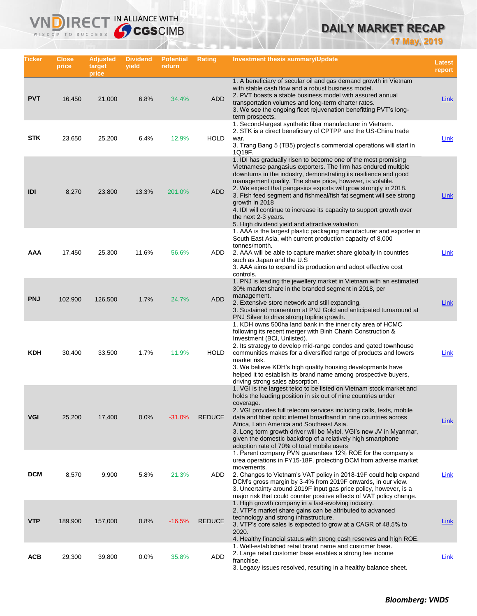# **DAILY MARKET RECAP**

**17 May, 2019**

| Ticker     | <b>Close</b><br>price | <b>Adjusted</b><br>target<br>price | <b>Dividend</b><br>yield | <b>Potential</b><br>return | <b>Rating</b> | <b>Investment thesis summary/Update</b>                                                                                                                                                                                                                                                                                                                                                                                                                                                                                                                                        | <b>Latest</b><br>report |
|------------|-----------------------|------------------------------------|--------------------------|----------------------------|---------------|--------------------------------------------------------------------------------------------------------------------------------------------------------------------------------------------------------------------------------------------------------------------------------------------------------------------------------------------------------------------------------------------------------------------------------------------------------------------------------------------------------------------------------------------------------------------------------|-------------------------|
| <b>PVT</b> | 16,450                | 21,000                             | 6.8%                     | 34.4%                      | <b>ADD</b>    | 1. A beneficiary of secular oil and gas demand growth in Vietnam<br>with stable cash flow and a robust business model.<br>2. PVT boasts a stable business model with assured annual<br>transportation volumes and long-term charter rates.<br>3. We see the ongoing fleet rejuvenation benefitting PVT's long-<br>term prospects.                                                                                                                                                                                                                                              | <b>Link</b>             |
| <b>STK</b> | 23,650                | 25,200                             | 6.4%                     | 12.9%                      | <b>HOLD</b>   | 1. Second-largest synthetic fiber manufacturer in Vietnam.<br>2. STK is a direct beneficiary of CPTPP and the US-China trade<br>war.<br>3. Trang Bang 5 (TB5) project's commercial operations will start in<br>1Q19F.                                                                                                                                                                                                                                                                                                                                                          | Link                    |
| IDI        | 8,270                 | 23,800                             | 13.3%                    | 201.0%                     | <b>ADD</b>    | 1. IDI has gradually risen to become one of the most promising<br>Vietnamese pangasius exporters. The firm has endured multiple<br>downturns in the industry, demonstrating its resilience and good<br>management quality. The share price, however, is volatile.<br>2. We expect that pangasius exports will grow strongly in 2018.<br>3. Fish feed segment and fishmeal/fish fat segment will see strong<br>growth in 2018<br>4. IDI will continue to increase its capacity to support growth over<br>the next 2-3 years.<br>5. High dividend yield and attractive valuation | Link                    |
| AAA        | 17,450                | 25,300                             | 11.6%                    | 56.6%                      | ADD           | 1. AAA is the largest plastic packaging manufacturer and exporter in<br>South East Asia, with current production capacity of 8,000<br>tonnes/month.<br>2. AAA will be able to capture market share globally in countries<br>such as Japan and the U.S.<br>3. AAA aims to expand its production and adopt effective cost<br>controls.                                                                                                                                                                                                                                           | Link                    |
| <b>PNJ</b> | 102,900               | 126,500                            | 1.7%                     | 24.7%                      | <b>ADD</b>    | 1. PNJ is leading the jewellery market in Vietnam with an estimated<br>30% market share in the branded segment in 2018, per<br>management.<br>2. Extensive store network and still expanding.<br>3. Sustained momentum at PNJ Gold and anticipated turnaround at<br>PNJ Silver to drive strong topline growth.                                                                                                                                                                                                                                                                 | Link                    |
| <b>KDH</b> | 30,400                | 33,500                             | 1.7%                     | 11.9%                      | <b>HOLD</b>   | 1. KDH owns 500ha land bank in the inner city area of HCMC<br>following its recent merger with Binh Chanh Construction &<br>Investment (BCI, Unlisted).<br>2. Its strategy to develop mid-range condos and gated townhouse<br>communities makes for a diversified range of products and lowers<br>market risk.<br>3. We believe KDH's high quality housing developments have<br>helped it to establish its brand name among prospective buyers,<br>driving strong sales absorption.                                                                                            | Link                    |
| <b>VGI</b> | 25,200                | 17,400                             | 0.0%                     | $-31.0%$                   | <b>REDUCE</b> | 1. VGI is the largest telco to be listed on Vietnam stock market and<br>holds the leading position in six out of nine countries under<br>coverage.<br>2. VGI provides full telecom services including calls, texts, mobile<br>data and fiber optic internet broadband in nine countries across<br>Africa, Latin America and Southeast Asia.<br>3. Long term growth driver will be Mytel, VGI's new JV in Myanmar,<br>given the domestic backdrop of a relatively high smartphone<br>adoption rate of 70% of total mobile users                                                 | Link                    |
| <b>DCM</b> | 8,570                 | 9,900                              | 5.8%                     | 21.3%                      | ADD           | 1. Parent company PVN guarantees 12% ROE for the company's<br>urea operations in FY15-18F, protecting DCM from adverse market<br>movements.<br>2. Changes to Vietnam's VAT policy in 2018-19F could help expand<br>DCM's gross margin by 3-4% from 2019F onwards, in our view.<br>3. Uncertainty around 2019F input gas price policy, however, is a<br>major risk that could counter positive effects of VAT policy change.                                                                                                                                                    | <u>Link</u>             |
| <b>VTP</b> | 189,900               | 157,000                            | 0.8%                     | $-16.5%$                   | <b>REDUCE</b> | 1. High growth company in a fast-evolving industry.<br>2. VTP's market share gains can be attributed to advanced<br>technology and strong infrastructure.<br>3. VTP's core sales is expected to grow at a CAGR of 48.5% to<br>2020.<br>4. Healthy financial status with strong cash reserves and high ROE.                                                                                                                                                                                                                                                                     | Link                    |
| <b>ACB</b> | 29,300                | 39,800                             | 0.0%                     | 35.8%                      | ADD           | 1. Well-established retail brand name and customer base.<br>2. Large retail customer base enables a strong fee income<br>franchise.<br>3. Legacy issues resolved, resulting in a healthy balance sheet.                                                                                                                                                                                                                                                                                                                                                                        | Link                    |

**VNDIRECT IN ALLIANCE WITH**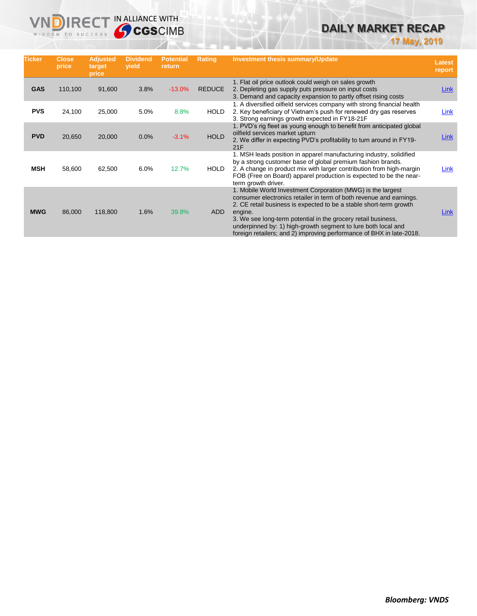# **DAILY MARKET RECAP**

**17 May, 2019**

| <b>Ticker</b> | <b>Close</b><br>price | <b>Adjusted</b><br>target<br>price | <b>Dividend</b><br>yield | <b>Potential</b><br>return | Rating        | <b>Investment thesis summary/Update</b>                                                                                                                                                                                                                                                                                                                                                                                       | Latest<br>report |
|---------------|-----------------------|------------------------------------|--------------------------|----------------------------|---------------|-------------------------------------------------------------------------------------------------------------------------------------------------------------------------------------------------------------------------------------------------------------------------------------------------------------------------------------------------------------------------------------------------------------------------------|------------------|
| <b>GAS</b>    | 110,100               | 91,600                             | 3.8%                     | $-13.0%$                   | <b>REDUCE</b> | 1. Flat oil price outlook could weigh on sales growth<br>2. Depleting gas supply puts pressure on input costs<br>3. Demand and capacity expansion to partly offset rising costs                                                                                                                                                                                                                                               | <b>Link</b>      |
| <b>PVS</b>    | 24,100                | 25,000                             | 5.0%                     | 8.8%                       | <b>HOLD</b>   | 1. A diversified oilfield services company with strong financial health<br>2. Key beneficiary of Vietnam's push for renewed dry gas reserves<br>3. Strong earnings growth expected in FY18-21F                                                                                                                                                                                                                                | Link             |
| <b>PVD</b>    | 20,650                | 20,000                             | 0.0%                     | $-3.1%$                    | <b>HOLD</b>   | 1. PVD's rig fleet as young enough to benefit from anticipated global<br>oilfield services market upturn<br>2. We differ in expecting PVD's profitability to turn around in FY19-<br>21F                                                                                                                                                                                                                                      | Link             |
| <b>MSH</b>    | 58,600                | 62,500                             | 6.0%                     | 12.7%                      | <b>HOLD</b>   | 1. MSH leads position in apparel manufacturing industry, solidified<br>by a strong customer base of global premium fashion brands.<br>2. A change in product mix with larger contribution from high-margin<br>FOB (Free on Board) apparel production is expected to be the near-<br>term growth driver.                                                                                                                       | Link             |
| <b>MWG</b>    | 86,000                | 118,800                            | 1.6%                     | 39.8%                      | ADD           | 1. Mobile World Investment Corporation (MWG) is the largest<br>consumer electronics retailer in term of both revenue and earnings.<br>2. CE retail business is expected to be a stable short-term growth<br>engine.<br>3. We see long-term potential in the grocery retail business,<br>underpinned by: 1) high-growth segment to lure both local and<br>foreign retailers; and 2) improving performance of BHX in late-2018. | <b>Link</b>      |

**VNDIRECT IN ALLIANCE WITH**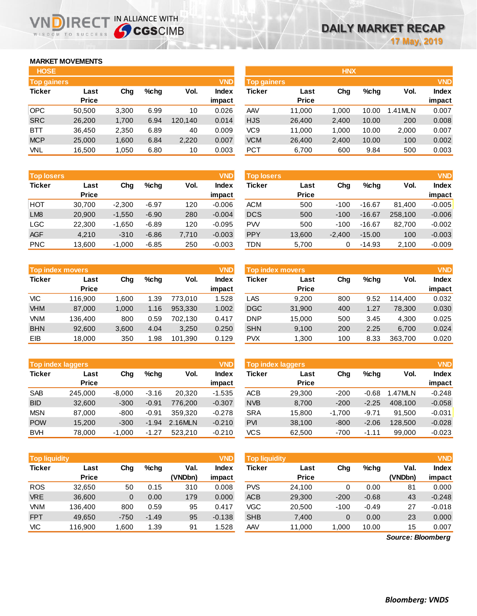# **MARKET MOVEMENTS**

WISDOM TO SUCCESS

ח

| <b>HOSE</b>        |              |       |         |         |              |
|--------------------|--------------|-------|---------|---------|--------------|
| <b>Top gainers</b> |              |       |         |         | <b>VND</b>   |
| <b>Ticker</b>      | Last         | Cha   | $%$ chq | Vol.    | <b>Index</b> |
|                    | <b>Price</b> |       |         |         | impact       |
| <b>OPC</b>         | 50,500       | 3,300 | 6.99    | 10      | 0.026        |
| <b>SRC</b>         | 26,200       | 1,700 | 6.94    | 120,140 | 0.014        |
| <b>BTT</b>         | 36,450       | 2,350 | 6.89    | 40      | 0.009        |
| <b>MCP</b>         | 25,000       | 1,600 | 6.84    | 2,220   | 0.007        |
| VNL                | 16,500       | 1,050 | 6.80    | 10      | 0.003        |

**IRECT IN ALLIANCE WITH** 

| <b>Top losers</b> |              |          |         |       | <b>VND</b>   |
|-------------------|--------------|----------|---------|-------|--------------|
| <b>Ticker</b>     | Last         | Cha      | %chq    | Vol.  | <b>Index</b> |
|                   | <b>Price</b> |          |         |       | impact       |
| HOT               | 30,700       | $-2,300$ | $-6.97$ | 120   | $-0.006$     |
| LM <sub>8</sub>   | 20,900       | $-1,550$ | $-6.90$ | 280   | $-0.004$     |
| <b>LGC</b>        | 22,300       | $-1,650$ | $-6.89$ | 120   | $-0.095$     |
| <b>AGF</b>        | 4,210        | $-310$   | $-6.86$ | 7,710 | $-0.003$     |
| <b>PNC</b>        | 13,600       | $-1,000$ | $-6.85$ | 250   | $-0.003$     |

| <b>Top index movers</b> |              |       |         |         |        |  |  |  |
|-------------------------|--------------|-------|---------|---------|--------|--|--|--|
| <b>Ticker</b>           | Last         | Cha   | $%$ chq | Vol.    | Index  |  |  |  |
|                         | <b>Price</b> |       |         |         | impact |  |  |  |
| <b>VIC</b>              | 116.900      | 1.600 | 1.39    | 773,010 | 1.528  |  |  |  |
| <b>VHM</b>              | 87,000       | 1,000 | 1.16    | 953,330 | 1.002  |  |  |  |
| VNM                     | 136,400      | 800   | 0.59    | 702,130 | 0.417  |  |  |  |
| <b>BHN</b>              | 92,600       | 3,600 | 4.04    | 3,250   | 0.250  |  |  |  |
| EIB                     | 18,000       | 350   | 1.98    | 101,390 | 0.129  |  |  |  |

| <b>Top index laggers</b> | <b>VND</b>   |          |         |         |              |
|--------------------------|--------------|----------|---------|---------|--------------|
| <b>Ticker</b>            | Last         | Cha      | %chq    | Vol.    | <b>Index</b> |
|                          | <b>Price</b> |          |         |         | impact       |
| <b>SAB</b>               | 245,000      | $-8,000$ | $-3.16$ | 20,320  | $-1.535$     |
| <b>BID</b>               | 32,600       | $-300$   | $-0.91$ | 776,200 | $-0.307$     |
| <b>MSN</b>               | 87,000       | -800     | $-0.91$ | 359.320 | $-0.278$     |
| <b>POW</b>               | 15,200       | $-300$   | $-1.94$ | 2.16MLN | $-0.210$     |
| <b>BVH</b>               | 78,000       | $-1,000$ | $-1.27$ | 523.210 | $-0.210$     |

|               | <b>VND</b><br><b>Top liquidity</b> |        |         |         |              |  |  |  |  |  |  |  |  |
|---------------|------------------------------------|--------|---------|---------|--------------|--|--|--|--|--|--|--|--|
| <b>Ticker</b> | Last                               | Cha    | %chq    | Val.    | <b>Index</b> |  |  |  |  |  |  |  |  |
|               | <b>Price</b>                       |        |         | (VNDbn) | impact       |  |  |  |  |  |  |  |  |
| <b>ROS</b>    | 32,650                             | 50     | 0.15    | 310     | 0.008        |  |  |  |  |  |  |  |  |
| <b>VRE</b>    | 36,600                             | 0      | 0.00    | 179     | 0.000        |  |  |  |  |  |  |  |  |
| VNM           | 136,400                            | 800    | 0.59    | 95      | 0.417        |  |  |  |  |  |  |  |  |
| <b>FPT</b>    | 49,650                             | $-750$ | $-1.49$ | 95      | $-0.138$     |  |  |  |  |  |  |  |  |
| <b>VIC</b>    | 116,900                            | 1,600  | 1.39    | 91      | 1.528        |  |  |  |  |  |  |  |  |

| <b>HOSE</b>        |              |       |      |         |              |                    |              | <b>HNX</b> |       |         |              |
|--------------------|--------------|-------|------|---------|--------------|--------------------|--------------|------------|-------|---------|--------------|
| <b>Top gainers</b> |              |       |      |         | <b>VND</b>   | <b>Top gainers</b> |              |            |       |         | <b>VND</b>   |
| Ticker             | Last         | Chg   | %chq | Vol.    | <b>Index</b> | Ticker             | Last         | Chg        | %chq  | Vol.    | <b>Index</b> |
|                    | <b>Price</b> |       |      |         | impact       |                    | <b>Price</b> |            |       |         | impact       |
| OPC                | 50.500       | 3,300 | 6.99 | 10      | 0.026        | AAV                | 11,000       | 1.000      | 10.00 | .41 MLN | 0.007        |
| <b>SRC</b>         | 26,200       | 1,700 | 6.94 | 120.140 | 0.014        | <b>HJS</b>         | 26,400       | 2,400      | 10.00 | 200     | 0.008        |
| BTT                | 36.450       | 2,350 | 6.89 | 40      | 0.009        | VC9                | 11,000       | 1.000      | 10.00 | 2,000   | 0.007        |
| <b>MCP</b>         | 25,000       | 1,600 | 6.84 | 2,220   | 0.007        | <b>VCM</b>         | 26,400       | 2,400      | 10.00 | 100     | 0.002        |
| VNL                | 16,500       | 1,050 | 6.80 | 10      | 0.003        | <b>PCT</b>         | 6,700        | 600        | 9.84  | 500     | 0.003        |

| <b>Top losers</b> |                      |          |         |       | <b>VND</b>         | <b>Top losers</b> |                      |          |          |         |                        |  |
|-------------------|----------------------|----------|---------|-------|--------------------|-------------------|----------------------|----------|----------|---------|------------------------|--|
| <b>Ticker</b>     | Last<br><b>Price</b> | Chg      | %chq    | Vol.  | <b>Index</b>       | Ticker            | Last<br><b>Price</b> | Chg      | $%$ chq  | Vol.    | <b>Index</b><br>impact |  |
| нот               | 30.700               | $-2,300$ | $-6.97$ | 120   | impact<br>$-0.006$ | <b>ACM</b>        | 500                  | $-100$   | $-16.67$ | 81.400  | $-0.005$               |  |
| LM <sub>8</sub>   | 20,900               | $-1,550$ | $-6.90$ | 280   | $-0.004$           | <b>DCS</b>        | 500                  | $-100$   | $-16.67$ | 258.100 | $-0.006$               |  |
| LGC               | 22,300               | $-1.650$ | $-6.89$ | 120   | $-0.095$           | <b>PW</b>         | 500                  | $-100$   | $-16.67$ | 82.700  | $-0.002$               |  |
| AGF               | 4.210                | $-310$   | $-6.86$ | 7,710 | $-0.003$           | <b>PPY</b>        | 13,600               | $-2.400$ | $-15.00$ | 100     | $-0.003$               |  |
| <b>PNC</b>        | 13,600               | $-1,000$ | $-6.85$ | 250   | $-0.003$           | TDN               | 5,700                |          | $-14.93$ | 2,100   | $-0.009$               |  |

|            | Top index movers     |       |      |         | <b>VND</b>      | <b>Top index movers</b> |                      |     |         |         |                 |
|------------|----------------------|-------|------|---------|-----------------|-------------------------|----------------------|-----|---------|---------|-----------------|
| Ticker     | Last<br><b>Price</b> | Chg   | %chq | Vol.    | Index<br>impact | Ticker                  | Last<br><b>Price</b> | Chg | $%$ chq | Vol.    | <b>Index</b>    |
| VIC        | 116.900              | 1.600 | 1.39 | 773.010 | 1.528           | LAS                     | 9.200                | 800 | 9.52    | 114,400 | impact<br>0.032 |
| <b>VHM</b> | 87,000               | 1.000 | 1.16 | 953.330 | 1.002           | <b>DGC</b>              | 31,900               | 400 | 1.27    | 78,300  | 0.030           |
| <b>VNM</b> | 136.400              | 800   | 0.59 | 702.130 | 0.417           | <b>DNP</b>              | 15.000               | 500 | 3.45    | 4.300   | 0.025           |
| <b>BHN</b> | 92,600               | 3.600 | 4.04 | 3,250   | 0.250           | <b>SHN</b>              | 9,100                | 200 | 2.25    | 6.700   | 0.024           |
| EIB        | 18.000               | 350   | 1.98 | 101,390 | 0.129           | <b>PVX</b>              | 1,300                | 100 | 8.33    | 363.700 | 0.020           |

|            | <b>Top index laggers</b> |          |         |         | VND                    | Top index laggers |                      | <b>VND</b> |         |         |                        |
|------------|--------------------------|----------|---------|---------|------------------------|-------------------|----------------------|------------|---------|---------|------------------------|
| Ticker     | Last<br><b>Price</b>     | Chg      | %chq    | Vol.    | <b>Index</b><br>impact | Ticker            | Last<br><b>Price</b> | Chg        | $%$ chq | Vol.    | <b>Index</b><br>impact |
| <b>SAB</b> | 245,000                  | $-8.000$ | $-3.16$ | 20.320  | $-1.535$               | ACB               | 29,300               | $-200$     | $-0.68$ | 1.47MLN | $-0.248$               |
| <b>BID</b> | 32,600                   | $-300$   | $-0.91$ | 776.200 | $-0.307$               | <b>NVB</b>        | 8,700                | $-200$     | $-2.25$ | 408.100 | $-0.058$               |
| <b>MSN</b> | 87.000                   | $-800$   | $-0.91$ | 359.320 | $-0.278$               | <b>SRA</b>        | 15.800               | $-1.700$   | $-9.71$ | 91.500  | $-0.031$               |
| <b>POW</b> | 15,200                   | $-300$   | $-1.94$ | 2.16MLN | $-0.210$               | <b>PVI</b>        | 38,100               | $-800$     | $-2.06$ | 128,500 | $-0.028$               |
| <b>BVH</b> | 78,000                   | $-1.000$ | $-1.27$ | 523.210 | $-0.210$               | <b>VCS</b>        | 62,500               | $-700$     | $-1.11$ | 99,000  | $-0.023$               |

| <b>VND</b><br><b>Top liquidity</b> |              |        |         |         |          | <b>Top liquidity</b> |              |        |         |         | <b>VND</b>   |
|------------------------------------|--------------|--------|---------|---------|----------|----------------------|--------------|--------|---------|---------|--------------|
| Ticker                             | Last         | Chg    | $%$ chq | Val.    | Index    | Ticker               | Last         | Chg    | $%$ chq | Val.    | <b>Index</b> |
|                                    | <b>Price</b> |        |         | (VNDbn) | impact   |                      | <b>Price</b> |        |         | (VNDbn) | impact       |
| <b>ROS</b>                         | 32.650       | 50     | 0.15    | 310     | 0.008    | <b>PVS</b>           | 24.100       |        | 0.00    | 81      | 0.000        |
| <b>VRE</b>                         | 36,600       | 0      | 0.00    | 179     | 0.000    | <b>ACB</b>           | 29,300       | $-200$ | $-0.68$ | 43      | $-0.248$     |
| <b>VNM</b>                         | 136,400      | 800    | 0.59    | 95      | 0.417    | VGC                  | 20.500       | $-100$ | $-0.49$ | 27      | $-0.018$     |
| <b>FPT</b>                         | 49.650       | $-750$ | $-1.49$ | 95      | $-0.138$ | <b>SHB</b>           | 7,400        | 0      | 0.00    | 23      | 0.000        |
| VIC                                | 116.900      | .600   | 1.39    | 91      | .528     | AAV                  | 11,000       | ,000   | 10.00   | 15      | 0.007        |

*Source: Bloomberg*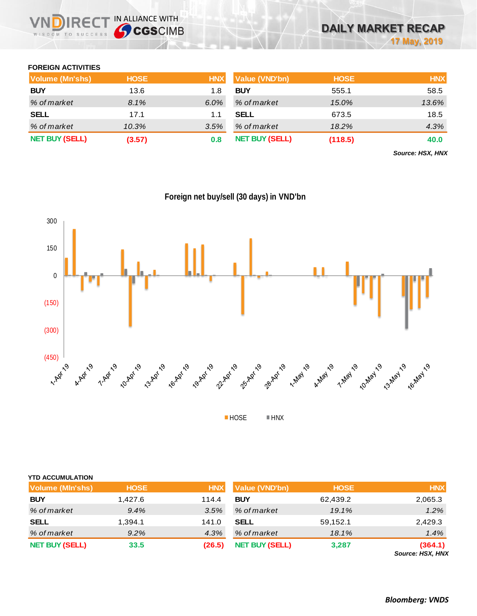# **FOREIGN ACTIVITIES**

| <b>Volume (Mn'shs)</b> | <b>HOSE</b> | <b>HNX</b> | <b>Value (VND'bn)</b> | <b>HOSE</b> | <b>HNX</b> |
|------------------------|-------------|------------|-----------------------|-------------|------------|
| <b>BUY</b>             | 13.6        | 1.8        | <b>BUY</b>            | 555.1       | 58.5       |
| % of market            | 8.1%        | 6.0%       | % of market           | 15.0%       | 13.6%      |
| <b>SELL</b>            | 17.1        | 1.1        | <b>SELL</b>           | 673.5       | 18.5       |
| % of market            | 10.3%       | 3.5%       | % of market           | 18.2%       | 4.3%       |
| <b>NET BUY (SELL)</b>  | (3.57)      | 0.8        | <b>NET BUY (SELL)</b> | (118.5)     | 40.0       |

*Source: HSX, HNX*



**Foreign net buy/sell (30 days) in VND'bn**

**HOSE HNX** 

| <b>YTD ACCUMULATION</b> |             |            |                       |             |                             |
|-------------------------|-------------|------------|-----------------------|-------------|-----------------------------|
| <b>Volume (MIn'shs)</b> | <b>HOSE</b> | <b>HNX</b> | Value (VND'bn)        | <b>HOSE</b> | <b>HNX</b>                  |
| <b>BUY</b>              | 1.427.6     | 114.4      | <b>BUY</b>            | 62,439.2    | 2,065.3                     |
| % of market             | 9.4%        | 3.5%       | % of market           | 19.1%       | 1.2%                        |
| <b>SELL</b>             | 1,394.1     | 141.0      | <b>SELL</b>           | 59,152.1    | 2,429.3                     |
| % of market             | 9.2%        | 4.3%       | % of market           | 18.1%       | 1.4%                        |
| <b>NET BUY (SELL)</b>   | 33.5        | (26.5)     | <b>NET BUY (SELL)</b> | 3,287       | (364.1)<br>Source: HSX, HNX |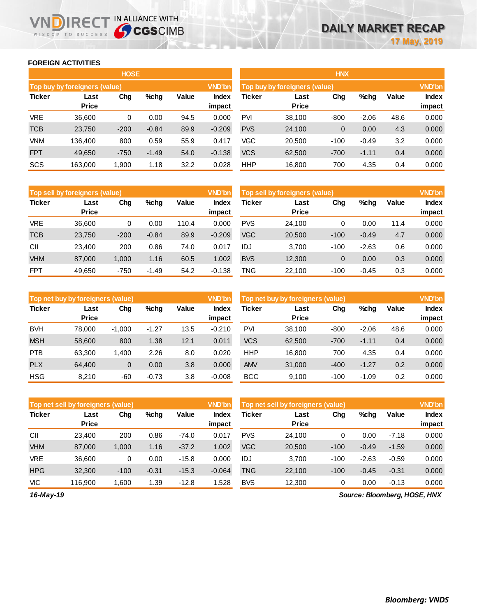#### **FOREIGN ACTIVITIES**

WISDOM TO SUCCESS

n

**IRECT IN ALLIANCE WITH** 

|               |                               | <b>HOSE</b> |         |       |                 |            |                                                | <b>HNX</b>     |         |       |                        |  |
|---------------|-------------------------------|-------------|---------|-------|-----------------|------------|------------------------------------------------|----------------|---------|-------|------------------------|--|
|               | Top buy by foreigners (value) |             |         |       |                 |            | <b>VND'bn</b><br>Top buy by foreigners (value) |                |         |       |                        |  |
| <b>Ticker</b> | Last<br><b>Price</b>          | Chg         | $%$ chg | Value | Index<br>impact | Ticker     | Last<br><b>Price</b>                           | Chg            | %chg    | Value | <b>Index</b><br>impact |  |
| <b>VRE</b>    | 36,600                        | 0           | 0.00    | 94.5  | 0.000           | <b>PVI</b> | 38,100                                         | $-800$         | $-2.06$ | 48.6  | 0.000                  |  |
| <b>TCB</b>    | 23,750                        | $-200$      | $-0.84$ | 89.9  | $-0.209$        | <b>PVS</b> | 24,100                                         | $\overline{0}$ | 0.00    | 4.3   | 0.000                  |  |
| <b>VNM</b>    | 136.400                       | 800         | 0.59    | 55.9  | 0.417           | VGC        | 20.500                                         | $-100$         | $-0.49$ | 3.2   | 0.000                  |  |
| <b>FPT</b>    | 49,650                        | $-750$      | $-1.49$ | 54.0  | $-0.138$        | <b>VCS</b> | 62,500                                         | $-700$         | $-1.11$ | 0.4   | 0.000                  |  |
| SCS           | 163,000                       | 1,900       | 1.18    | 32.2  | 0.028           | <b>HHP</b> | 16,800                                         | 700            | 4.35    | 0.4   | 0.000                  |  |

|               | <b>VND'bn</b><br>Top sell by foreigners (value) |        |         |       |                 |            | Top sell by foreigners (value) |        |         |       |                 |
|---------------|-------------------------------------------------|--------|---------|-------|-----------------|------------|--------------------------------|--------|---------|-------|-----------------|
| <b>Ticker</b> | Last<br><b>Price</b>                            | Chg    | $%$ chg | Value | Index<br>impact | Ticker     | Last<br><b>Price</b>           | Chg    | %chg    | Value | Index<br>impact |
| <b>VRE</b>    | 36.600                                          | 0      | 0.00    | 110.4 | 0.000           | <b>PVS</b> | 24.100                         | 0      | 0.00    | 11.4  | 0.000           |
| <b>TCB</b>    | 23,750                                          | $-200$ | $-0.84$ | 89.9  | $-0.209$        | <b>VGC</b> | 20,500                         | $-100$ | $-0.49$ | 4.7   | 0.000           |
| CII           | 23.400                                          | 200    | 0.86    | 74.0  | 0.017           | IDJ        | 3.700                          | $-100$ | $-2.63$ | 0.6   | 0.000           |
| <b>VHM</b>    | 87,000                                          | 1,000  | 1.16    | 60.5  | 1.002           | <b>BVS</b> | 12,300                         | 0      | 0.00    | 0.3   | 0.000           |
| <b>FPT</b>    | 49,650                                          | $-750$ | $-1.49$ | 54.2  | $-0.138$        | <b>TNG</b> | 22.100                         | $-100$ | $-0.45$ | 0.3   | 0.000           |

|               | <b>VND'bn</b><br>Top net buy by foreigners (value) |          |         |       |                 |               | Top net buy by foreigners (value) |        |         |       |                        |
|---------------|----------------------------------------------------|----------|---------|-------|-----------------|---------------|-----------------------------------|--------|---------|-------|------------------------|
| <b>Ticker</b> | Last<br><b>Price</b>                               | Chg      | $%$ chg | Value | Index<br>impact | <b>Ticker</b> | Last<br><b>Price</b>              | Chg    | %chg    | Value | <b>Index</b><br>impact |
| <b>BVH</b>    | 78.000                                             | $-1.000$ | $-1.27$ | 13.5  | $-0.210$        | PVI           | 38.100                            | $-800$ | $-2.06$ | 48.6  | 0.000                  |
| <b>MSH</b>    | 58,600                                             | 800      | 1.38    | 12.1  | 0.011           | <b>VCS</b>    | 62,500                            | $-700$ | $-1.11$ | 0.4   | 0.000                  |
| <b>PTB</b>    | 63,300                                             | 1,400    | 2.26    | 8.0   | 0.020           | <b>HHP</b>    | 16,800                            | 700    | 4.35    | 0.4   | 0.000                  |
| <b>PLX</b>    | 64,400                                             | 0        | 0.00    | 3.8   | 0.000           | <b>AMV</b>    | 31,000                            | $-400$ | $-1.27$ | 0.2   | 0.000                  |
| <b>HSG</b>    | 8.210                                              | -60      | $-0.73$ | 3.8   | $-0.008$        | <b>BCC</b>    | 9.100                             | $-100$ | $-1.09$ | 0.2   | 0.000                  |

|               | <b>VND'bn</b><br>Top net sell by foreigners (value) |        |         |         |                 |            | Top net sell by foreigners (value) |        |         |         |                 |  |
|---------------|-----------------------------------------------------|--------|---------|---------|-----------------|------------|------------------------------------|--------|---------|---------|-----------------|--|
| <b>Ticker</b> | Last<br><b>Price</b>                                | Chg    | %chg    | Value   | Index<br>impact | Ticker     | Last<br><b>Price</b>               | Chg    | %chg    | Value   | Index<br>impact |  |
| CII           | 23,400                                              | 200    | 0.86    | $-74.0$ | 0.017           | <b>PVS</b> | 24.100                             | 0      | 0.00    | $-7.18$ | 0.000           |  |
| <b>VHM</b>    | 87,000                                              | 1.000  | 1.16    | $-37.2$ | 1.002           | <b>VGC</b> | 20,500                             | $-100$ | $-0.49$ | $-1.59$ | 0.000           |  |
| <b>VRE</b>    | 36.600                                              | 0      | 0.00    | $-15.8$ | 0.000           | IDJ        | 3.700                              | $-100$ | $-2.63$ | $-0.59$ | 0.000           |  |
| <b>HPG</b>    | 32,300                                              | $-100$ | $-0.31$ | $-15.3$ | $-0.064$        | <b>TNG</b> | 22,100                             | $-100$ | $-0.45$ | $-0.31$ | 0.000           |  |
| <b>VIC</b>    | 116.900                                             | 1.600  | 1.39    | $-12.8$ | .528            | <b>BVS</b> | 12,300                             | 0      | 0.00    | $-0.13$ | 0.000           |  |

*16-May-19*

*Source: Bloomberg, HOSE, HNX*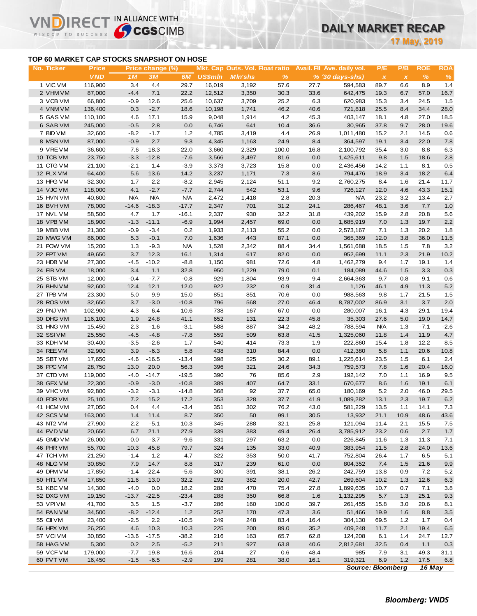### **TOP 60 MARKET CAP STOCKS SNAPSHOT ON HOSE**

IR<sub>E</sub>

WISDOM TO SUCCESS

IN ALLIANCE WITH

**17 May, 2019**

| No. Ticker | <u>Price</u> |            | Price change (%) |            |                |                |               |      | Mkt. Cap Outs. Vol. Float ratio Avail. Fil Ave. daily vol. | P/E                      | P/B          | <b>ROE</b> | <b>ROA</b>    |  |
|------------|--------------|------------|------------------|------------|----------------|----------------|---------------|------|------------------------------------------------------------|--------------------------|--------------|------------|---------------|--|
|            | <b>VND</b>   | 1M         | 3M               | 6M         | <b>US\$mln</b> | <b>MIn'shs</b> | $\frac{9}{6}$ |      | $% (30 days-shs)$                                          | $\pmb{\chi}$             | $\pmb{\chi}$ | $\%$       | $\%$          |  |
| 1 VIC VM   | 116,900      | 3.4        | 4.4              | 29.7       | 16,019         | 3,192          | 57.6          | 27.7 | 594,583                                                    | 89.7                     | 6.6          | 8.9        | 1.4           |  |
| 2 VHM VM   | 87,000       | $-4.4$     | 7.1              | 22.2       | 12,512         | 3,350          | 30.3          | 33.6 | 642,475                                                    | 19.3                     | 6.7          | 57.0       | 16.7          |  |
| 3 VCB VM   | 66,800       | $-0.9$     | 12.6             | 25.6       | 10,637         | 3,709          | 25.2          | 6.3  | 620,983                                                    | 15.3                     | 3.4          | 24.5       | 1.5           |  |
| 4 VNM VM   | 136,400      | 0.3        | $-2.7$           | 18.6       | 10,198         | 1,741          | 46.2          | 40.6 | 721,818                                                    | 25.5                     | 8.4          | 34.4       | 28.0          |  |
| 5 GAS VM   | 110,100      | 4.6        | 17.1             | 15.9       | 9,048          | 1,914          | 4.2           | 45.3 | 403,147                                                    | 18.1                     | 4.8          | 27.0       | 18.5          |  |
| 6 SAB VM   | 245,000      | $-0.5$     | 2.8              | 0.0        | 6,746          | 641            | 10.4          | 36.6 | 30,965                                                     | 37.8                     | 9.7          | 28.0       | 19.6          |  |
| 7 BID VM   | 32,600       | $-8.2$     | $-1.7$           | 1.2        | 4,785          | 3,419          | 4.4           | 26.9 | 1,011,480                                                  | 15.2                     | 2.1          | 14.5       | 0.6           |  |
| 8 MSN VM   | 87,000       | $-0.9$     | 2.7              | 9.3        | 4,345          | 1,163          | 24.9          | 8.4  | 364,597                                                    | 19.1                     | 3.4          | 22.0       | $7.8$         |  |
| 9 VREVM    | 36,600       | 7.6        | 18.3             | 22.0       | 3,660          | 2,329          | 100.0         | 16.8 | 2,100,792                                                  | 35.4                     | 3.0          | 8.8        | 6.3           |  |
| 10 TCB VM  | 23,750       | $-3.3$     | $-12.8$          | $-7.6$     | 3,566          | 3,497          | 81.6          | 0.0  | 1,425,611                                                  | 9.8                      | 1.5          | 18.6       | $2.8\,$       |  |
| 11 CTG VM  | 21,100       | $-2.1$     | 1.4              | $-3.9$     | 3,373          | 3,723          | 15.8          | 0.0  | 2,436,456                                                  | 14.2                     | 1.1          | 8.1        | 0.5           |  |
| 12 PLX VM  | 64,400       | 5.6        | 13.6             | 14.2       | 3,237          | 1,171          | 7.3           | 8.6  | 794,476                                                    | 18.9                     | 3.4          | 18.2       | 6.4           |  |
| 13 HPG VM  | 32,300       | 1.7        | 2.2              | $-8.2$     | 2,945          | 2,124          | 51.1          | 9.2  | 2,760,275                                                  | 8.4                      | 1.6          | 21.4       | 11.7          |  |
| 14 VJC VM  | 118,000      | 4.1        | $-2.7$           | $-7.7$     | 2,744          | 542            | 53.1          | 9.6  | 726,127                                                    | 12.0                     | 4.6          | 43.3       | 15.1          |  |
| 15 HVN VM  | 40,600       | <b>N/A</b> | <b>N/A</b>       | <b>N/A</b> | 2,472          | 1,418          | 2.8           | 20.3 | <b>N/A</b>                                                 | 23.2                     | 3.2          | 13.4       | 2.7           |  |
| 16 BVH VM  | 78,000       | $-14.6$    | $-18.3$          | $-17.7$    | 2,347          | 701            | 31.2          | 24.1 | 286,467                                                    | 48.1                     | 3.6          | 7.7        | $1.0$         |  |
| 17 NVL VM  | 58,500       | 4.7        | 1.7              | $-16.1$    | 2,337          | 930            | 32.2          | 31.8 | 439,202                                                    | 15.9                     | 2.8          | 20.8       | 5.6           |  |
| 18 VPB VM  | 18,900       | $-1.3$     | $-11.1$          | $-6.9$     | 1,994          | 2,457          | 69.0          | 0.0  | 1,685,919                                                  | 7.0                      | 1.3          | 19.7       | 2.2           |  |
| 19 MBB VM  | 21,300       | $-0.9$     | $-3.4$           | 0.2        | 1,933          | 2,113          | 55.2          | 0.0  | 2,573,167                                                  | 7.1                      | 1.3          | 20.2       | 1.8           |  |
| 20 MWG VM  | 86,000       | 5.3        | $-0.1$           | 7.0        | 1,636          | 443            | 87.1          | 0.0  | 365,369                                                    | 12.0                     | 3.8          | 36.0       | 11.5          |  |
| 21 POW VM  | 15,200       | 1.3        | $-9.3$           | <b>N/A</b> | 1,528          | 2,342          | 88.4          | 34.4 | 1,561,688                                                  | 18.5                     | 1.5          | 7.8        | 3.2           |  |
| 22 FPT VM  | 49,650       | 3.7        | 12.3             | 16.1       | 1,314          | 617            | 82.0          | 0.0  | 952,699                                                    | 11.1                     | 2.3          | 21.9       | 10.2          |  |
| 23 HDB VM  | 27,300       | $-4.5$     | $-10.2$          | $-8.8$     | 1,150          | 981            | 72.6          | 4.8  | 1,462,279                                                  | 9.4                      | 1.7          | 19.1       | 1.4           |  |
| 24 EIB VM  | 18,000       | 3.4        | 1.1              | 32.8       | 950            | 1,229          | 79.0          | 0.1  | 184,089                                                    | 44.6                     | 1.5          | 3.3        | 0.3           |  |
| 25 STB VM  | 12,000       | $-0.4$     | $-7.7$           | $-0.8$     | 929            | 1,804          | 93.9          | 9.4  | 2,664,363                                                  | 9.7                      | 0.8          | 9.1        | 0.6           |  |
| 26 BHN VM  | 92,600       | 12.4       | 12.1             | 12.0       | 922            | 232            | 0.9           | 31.4 | 1,126                                                      | 46.1                     | 4.9          | 11.3       | 5.2           |  |
| 27 TPB VM  | 23,300       | 5.0        | 9.9              | 15.0       | 851            | 851            | 70.6          | 0.0  | 988,563                                                    | 9.8                      | 1.7          | 21.5       | 1.5           |  |
| 28 ROS VM  | 32,650       | 3.7        | $-3.0$           | $-10.8$    | 796            | 568            | 27.0          | 46.4 | 8,787,002                                                  | 86.9                     | 3.1          | 3.7        | $2.0\,$       |  |
| 29 PNJ VM  | 102,900      | 4.3        | 6.4              | 10.6       | 738            | 167            | 67.0          | 0.0  | 280,007                                                    | 16.1                     | 4.3          | 29.1       | 19.4          |  |
| 30 DHG VM  | 116,100      | 1.9        | 24.8             | 41.1       | 652            | 131            | 22.3          | 45.8 | 35,303                                                     | 27.6                     | 5.0          | 19.0       | 14.7          |  |
| 31 HNG VM  | 15,450       | 2.3        | $-1.6$           | $-3.1$     | 588            | 887            | 34.2          | 48.2 | 788,594                                                    | <b>N/A</b>               | 1.3          | $-7.1$     | $-2.6$        |  |
| 32 SSIVM   | 25,550       | $-4.5$     | $-4.8$           | $-7.8$     | 559            | 509            | 63.8          | 41.5 | 1,325,060                                                  | 11.8                     | 1.4          | 11.9       | 4.7           |  |
| 33 KDH VM  | 30,400       | $-3.5$     | $-2.6$           | 1.7        | 540            | 414            | 73.3          | 1.9  | 222,860                                                    | 15.4                     | 1.8          | 12.2       | 8.5           |  |
| 34 REE VM  | 32,900       | 3.9        | $-6.3$           | 5.8        | 438            | 310            | 84.4          | 0.0  | 412,380                                                    | 5.8                      | 1.1          | 20.6       | 10.8          |  |
| 35 SBT VM  | 17,650       | $-4.6$     | $-16.5$          | $-13.4$    | 398            | 525            | 30.2          | 89.1 | 1,225,614                                                  | 23.5                     | 1.5          | 6.1        | 2.4           |  |
| 36 PPC VM  | 28,750       | 13.0       | 20.0             | 56.3       | 396            | 321            | 24.6          | 34.3 | 759,573                                                    | 7.8                      | 1.6          | 20.4       | 16.0          |  |
| 37 CTD VM  | 119,000      | $-4.0$     | $-14.7$          | $-19.5$    | 390            | 76             | 85.6          | 2.9  | 192,142                                                    | 7.0                      | 1.1          | 16.9       | 9.5           |  |
| 38 GEX VM  | 22,300       | $-0.9$     | $-3.0$           | $-10.8$    | 389            | 407            | 64.7          | 33.1 | 670,677                                                    | 8.6                      | 1.6          | 19.1       | 6.1           |  |
| 39 VHC VM  | 92,800       | $-3.2$     | $-3.1$           | $-14.8$    | 368            | 92             | 37.7          | 65.0 | 180,169                                                    | 5.2                      | 2.0          | 46.0       | 29.5          |  |
| 40 PDR VM  | 25,100       | 7.2        | 15.2             | 17.2       | 353            | 328            | 37.7          | 41.9 | 1,089,282                                                  | 13.1                     | 2.3          | 19.7       | 6.2           |  |
| 41 HCM VM  | 27,050       | 0.4        | 4.4              | $-3.4$     | 351            | 302            | 76.2          | 43.0 | 581,229                                                    | 13.5                     | 1.1          | 14.1       | 7.3           |  |
| 42 SCS VM  |              | $1.4$      | 11.4             |            |                |                |               |      |                                                            | 21.1                     | 10.9         | 48.6       | 43.6          |  |
|            | 163,000      |            |                  | 8.7        | 350            | 50             | 99.1          | 30.5 | 13,932                                                     |                          |              |            |               |  |
| 43 NT2 VM  | 27,900       | 2.2        | $-5.1$           | 10.3       | 345            | 288            | 32.1          | 25.8 | 121,094                                                    | 11.4                     | 2.1          | 15.5       | 7.5           |  |
| 44 PVD VM  | 20,650       | 6.7        | 21.1             | 27.9       | 339            | 383            | 49.4          | 26.4 | 3,785,912                                                  | 23.2                     | 0.6          | 2.7        | 1.7           |  |
| 45 GMD VM  | 26,000       | 0.0        | $-3.7$           | $-9.6$     | 331            | 297            | 63.2          | 0.0  | 226,845                                                    | 11.6                     | 1.3          | 11.3       | 7.1           |  |
| 46 PHR VM  | 55,700       | 10.3       | 45.8             | 79.7       | 324            | 135            | 33.0          | 40.9 | 383,954                                                    | 11.5                     | 2.8          | 24.0       | 13.6          |  |
| 47 TCH VM  | 21,250       | $-1.4$     | 1.2              | 4.7        | 322            | 353            | 50.0          | 41.7 | 752,804                                                    | 26.4                     | 1.7          | 6.5        | 5.1           |  |
| 48 NLG VM  | 30,850       | 7.9        | 14.7             | 8.8        | 317            | 239            | 61.0          | 0.0  | 804,352                                                    | 7.4                      | 1.5          | 21.6       | 9.9           |  |
| 49 DPM VM  | 17,850       | $-1.4$     | $-22.4$          | $-5.6$     | 300            | 391            | 38.1          | 26.2 | 242,759                                                    | 13.8                     | 0.9          | 7.2        | 5.2           |  |
| 50 HT1 VM  | 17,850       | 11.6       | 13.0             | 32.2       | 292            | 382            | 20.0          | 42.7 | 269,604                                                    | 10.2                     | 1.3          | 12.6       | 6.3           |  |
| 51 KBC VM  | 14,300       | $-4.0$     | 0.0              | 18.2       | 288            | 470            | 75.4          | 27.8 | 1,899,635                                                  | 10.7                     | 0.7          | 7.1        | 3.8           |  |
| 52 DXG VM  | 19,150       | $-13.7$    | $-22.5$          | $-23.4$    | 288            | 350            | 66.8          | 1.6  | 1,132,295                                                  | 5.7                      | 1.3          | 25.1       | 9.3           |  |
| 53 VPI VM  | 41,700       | 3.5        | 1.5              | $-3.7$     | 286            | 160            | 100.0         | 39.7 | 261,455                                                    | 15.8                     | 3.0          | 20.6       | 8.1           |  |
| 54 PAN VM  | 34,500       | $-8.2$     | $-12.4$          | $1.2$      | 252            | 170            | 47.3          | 3.6  | 51,466                                                     | 19.9                     | 1.6          | 8.8        | 3.5           |  |
| 55 CII VM  | 23,400       | $-2.5$     | 2.2              | $-10.5$    | 249            | 248            | 83.4          | 16.4 | 304,130                                                    | 69.5                     | 1.2          | 1.7        | 0.4           |  |
| 56 HPX VM  | 26,250       | 4.6        | 10.3             | 10.3       | 225            | 200            | 89.0          | 35.2 | 409,248                                                    | 11.7                     | 2.1          | 19.4       | 6.5           |  |
| 57 VCIVM   | 30,850       | $-13.6$    | $-17.5$          | $-38.2$    | 216            | 163            | 65.7          | 62.8 | 124,208                                                    | 6.1                      | 1.4          | 24.7       | 12.7          |  |
| 58 HAG VM  | 5,300        | 0.2        | 2.5              | $-5.2$     | 211            | 927            | 63.8          | 40.6 | 2,812,681                                                  | 32.5                     | 0.4          | 1.1        | 0.3           |  |
| 59 VCF VM  | 179,000      | $-7.7$     | 19.8             | 16.6       | 204            | 27             | 0.6           | 48.4 | 985                                                        | 7.9                      | 3.1          | 49.3       | 31.1          |  |
| 60 PVT VM  | 16,450       | $-1.5$     | $-6.5$           | $-2.9$     | 199            | 281            | 38.0          | 16.1 | 319,321                                                    | 6.9                      | 1.2          | 17.5       | 6.8           |  |
|            |              |            |                  |            |                |                |               |      |                                                            | <b>Source: Bloomberg</b> |              |            | <b>16 May</b> |  |